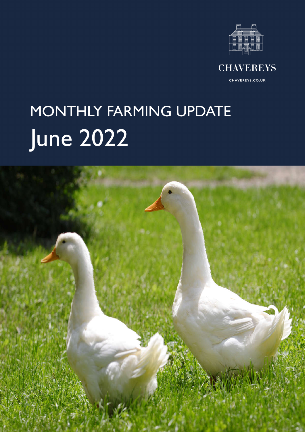



CHAVEREYS.CO.UK

# June 2022 MONTHLY FARMING UPDATE

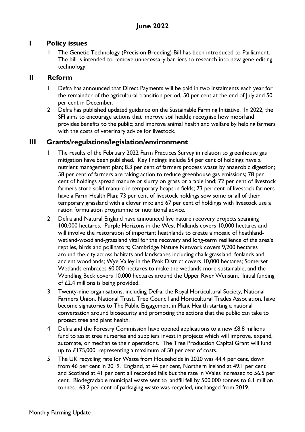#### **I Policy issues**

1 The Genetic Technology (Precision Breeding) Bill has been introduced to Parliament. The bill is intended to remove unnecessary barriers to research into new gene editing technology.

#### **II Reform**

- 1 Defra has announced that Direct Payments will be paid in two instalments each year for the remainder of the agricultural transition period, 50 per cent at the end of July and 50 per cent in December.
- 2 Defra has published updated guidance on the Sustainable Farming Initiative. In 2022, the SFI aims to encourage actions that improve soil health; recognise how moorland provides benefits to the public; and improve animal health and welfare by helping farmers with the costs of veterinary advice for livestock.

#### **III Grants/regulations/legislation/environment**

- 1 The results of the February 2022 Farm Practices Survey in relation to greenhouse gas mitigation have been published. Key findings include 54 per cent of holdings have a nutrient management plan; 8.3 per cent of farmers process waste by anaerobic digestion; 58 per cent of farmers are taking action to reduce greenhouse gas emissions; 78 per cent of holdings spread manure or slurry on grass or arable land; 72 per cent of livestock farmers store solid manure in temporary heaps in fields; 73 per cent of livestock farmers have a Farm Health Plan; 73 per cent of livestock holdings sow some or all of their temporary grassland with a clover mix; and 67 per cent of holdings with livestock use a ration formulation programme or nutritional advice.
- 2 Defra and Natural England have announced five nature recovery projects spanning 100,000 hectares. Purple Horizons in the West Midlands covers 10,000 hectares and will involve the restoration of important heathlands to create a mosaic of heathlandwetland-woodland-grassland vital for the recovery and long-term resilience of the area's reptiles, birds and pollinators; Cambridge Nature Network covers 9,200 hectares around the city across habitats and landscapes including chalk grassland, fenlands and ancient woodlands; Wye Valley in the Peak District covers 10,000 hectares; Somerset Wetlands embraces 60,000 hectares to make the wetlands more sustainable; and the Wendling Beck covers 10,000 hectares around the Upper River Wensum. Initial funding of £2.4 millions is being provided.
- 3 Twenty-nine organisations, including Defra, the Royal Horticultural Society, National Farmers Union, National Trust, Tree Council and Horticultural Trades Association, have become signatories to The Public Engagement in Plant Health starting a national conversation around biosecurity and promoting the actions that the public can take to protect tree and plant health.
- 4 Defra and the Forestry Commission have opened applications to a new £8.8 millions fund to assist tree nurseries and suppliers invest in projects which will improve, expand, automate, or mechanise their operations. The Tree Production Capital Grant will fund up to £175,000, representing a maximum of 50 per cent of costs.
- 5 The UK recycling rate for Waste from Households in 2020 was 44.4 per cent, down from 46 per cent in 2019. England, at 44 per cent, Northern Ireland at 49.1 per cent and Scotland at 41 per cent all recorded falls but the rate in Wales increased to 56.5 per cent. Biodegradable municipal waste sent to landfill fell by 500,000 tonnes to 6.1 million tonnes. 63.2 per cent of packaging waste was recycled, unchanged from 2019.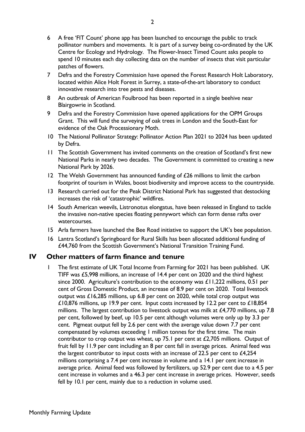- 6 A free 'FIT Count' phone app has been launched to encourage the public to track pollinator numbers and movements. It is part of a survey being co-ordinated by the UK Centre for Ecology and Hydrology. The Flower-Insect Timed Count asks people to spend 10 minutes each day collecting data on the number of insects that visit particular patches of flowers.
- 7 Defra and the Forestry Commission have opened the Forest Research Holt Laboratory, located within Alice Holt Forest in Surrey, a state-of-the-art laboratory to conduct innovative research into tree pests and diseases.
- 8 An outbreak of American Foulbrood has been reported in a single beehive near Blairgowrie in Scotland.
- 9 Defra and the Forestry Commission have opened applications for the OPM Groups Grant. This will fund the surveying of oak trees in London and the South-East for evidence of the Oak Processionary Moth.
- 10 The National Pollinator Strategy: Pollinator Action Plan 2021 to 2024 has been updated by Defra.
- 11 The Scottish Government has invited comments on the creation of Scotland's first new National Parks in nearly two decades. The Government is committed to creating a new National Park by 2026.
- 12 The Welsh Government has announced funding of £26 millions to limit the carbon footprint of tourism in Wales, boost biodiversity and improve access to the countryside.
- 13 Research carried out for the Peak District National Park has suggested that destocking increases the risk of 'catastrophic' wildfires.
- 14 South American weevils, Listronotus elongatus, have been released in England to tackle the invasive non-native species floating pennywort which can form dense rafts over watercourses.
- 15 Arla farmers have launched the Bee Road initiative to support the UK's bee population.
- 16 Lantra Scotland's Springboard for Rural Skills has been allocated additional funding of £44,760 from the Scottish Government's National Transition Training Fund.

#### **IV Other matters of farm finance and tenure**

1 The first estimate of UK Total Income from Farming for 2021 has been published. UK TIFF was £5,998 millions, an increase of 14.4 per cent on 2020 and the third highest since 2000. Agriculture's contribution to the economy was £11,222 millions, 0.51 per cent of Gross Domestic Product, an increase of 8.9 per cent on 2020. Total livestock output was £16,285 millions, up 6.8 per cent on 2020, while total crop output was £10,876 millions, up 19.9 per cent. Input costs increased by 12.2 per cent to £18,854 millions. The largest contribution to livestock output was milk at  $£4,770$  millions, up  $7.8$ per cent, followed by beef, up 10.5 per cent although volumes were only up by 3.3 per cent. Pigmeat output fell by 2.6 per cent with the average value down 7.7 per cent compensated by volumes exceeding 1 million tonnes for the first time. The main contributor to crop output was wheat, up 75.1 per cent at  $£2,705$  millions. Output of fruit fell by 11.9 per cent including an 8 per cent fall in average prices. Animal feed was the largest contributor to input costs with an increase of 22.5 per cent to  $£4,254$ millions comprising a 7.4 per cent increase in volume and a 14.1 per cent increase in average price. Animal feed was followed by fertilizers, up 52.9 per cent due to a 4.5 per cent increase in volumes and a 46.3 per cent increase in average prices. However, seeds fell by 10.1 per cent, mainly due to a reduction in volume used.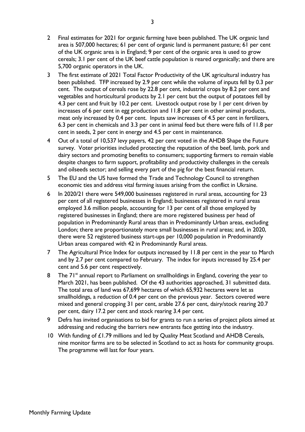- 2 Final estimates for 2021 for organic farming have been published. The UK organic land area is 507,000 hectares; 61 per cent of organic land is permanent pasture; 61 per cent of the UK organic area is in England; 9 per cent of the organic area is used to grow cereals; 3.1 per cent of the UK beef cattle population is reared organically; and there are 5,700 organic operators in the UK.
- 3 The first estimate of 2021 Total Factor Productivity of the UK agricultural industry has been published. TFP increased by 2.9 per cent while the volume of inputs fell by 0.3 per cent. The output of cereals rose by 22.8 per cent, industrial crops by 8.2 per cent and vegetables and horticultural products by 2.1 per cent but the output of potatoes fell by 4.3 per cent and fruit by 10.2 per cent. Livestock output rose by 1 per cent driven by increases of 6 per cent in egg production and 11.8 per cent in other animal products, meat only increased by 0.4 per cent. Inputs saw increases of 4.5 per cent in fertilizers, 6.3 per cent in chemicals and 3.3 per cent in animal feed but there were falls of 11.8 per cent in seeds, 2 per cent in energy and 4.5 per cent in maintenance.
- 4 Out of a total of 10,537 levy payers, 42 per cent voted in the AHDB Shape the Future survey. Voter priorities included protecting the reputation of the beef, lamb, pork and dairy sectors and promoting benefits to consumers; supporting farmers to remain viable despite changes to farm support, profitability and productivity challenges in the cereals and oilseeds sector; and selling every part of the pig for the best financial return.
- 5 The EU and the US have formed the Trade and Technology Council to strengthen economic ties and address vital farming issues arising from the conflict in Ukraine.
- 6 In 2020/21 there were 549,000 businesses registered in rural areas, accounting for 23 per cent of all registered businesses in England; businesses registered in rural areas employed 3.6 million people, accounting for 13 per cent of all those employed by registered businesses in England; there are more registered business per head of population in Predominantly Rural areas than in Predominantly Urban areas, excluding London; there are proportionately more small businesses in rural areas; and, in 2020, there were 52 registered business start-ups per 10,000 population in Predominantly Urban areas compared with 42 in Predominantly Rural areas.
- 7 The Agricultural Price Index for outputs increased by 11.8 per cent in the year to March and by 2.7 per cent compared to February. The index for inputs increased by 25.4 per cent and 5.6 per cent respectively.
- 8 The 71<sup>st</sup> annual report to Parliament on smallholdings in England, covering the year to March 2021, has been published. Of the 43 authorities approached, 31 submitted data. The total area of land was 67,699 hectares of which 65,932 hectares were let as smallholdings, a reduction of 0.4 per cent on the previous year. Sectors covered were mixed and general cropping 31 per cent, arable 27.6 per cent, dairy/stock rearing 20.7 per cent, dairy 17.2 per cent and stock rearing 3.4 per cent.
- 9 Defra has invited organisations to bid for grants to run a series of project pilots aimed at addressing and reducing the barriers new entrants face getting into the industry.
- 10 With funding of £1.79 millions and led by Quality Meat Scotland and AHDB Cereals, nine monitor farms are to be selected in Scotland to act as hosts for community groups. The programme will last for four years.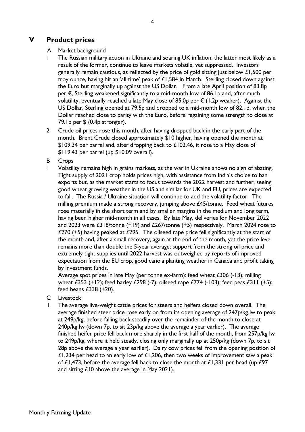#### **V Product prices**

#### A Market background

- 1 The Russian military action in Ukraine and soaring UK inflation, the latter most likely as a result of the former, continue to leave markets volatile, yet suppressed. Investors generally remain cautious, as reflected by the price of gold sitting just below  $£1,500$  per troy ounce, having hit an 'all time' peak of  $£1,584$  in March. Sterling closed down against the Euro but marginally up against the US Dollar. From a late April position of 83.8p per €, Sterling weakened significantly to a mid-month low of 86.1p and, after much volatility, eventually reached a late May close of 85.0p per  $\epsilon$  (1.2p weaker). Against the US Dollar, Sterling opened at 79.5p and dropped to a mid-month low of 82.1p, when the Dollar reached close to parity with the Euro, before regaining some strength to close at 79.1p per \$ (0.4p stronger).
- 2 Crude oil prices rose this month, after having dropped back in the early part of the month. Brent Crude closed approximately \$10 higher, having opened the month at \$109.34 per barrel and, after dropping back to £102.46, it rose to a May close of \$119.43 per barrel (up \$10.09 overall).
- B Crops
- 1 Volatility remains high in grains markets, as the war in Ukraine shows no sign of abating. Tight supply of 2021 crop holds prices high, with assistance from India's choice to ban exports but, as the market starts to focus towards the 2022 harvest and further, seeing good wheat growing weather in the US and similar for UK and EU, prices are expected to fall. The Russia / Ukraine situation will continue to add the volatility factor. The milling premium made a strong recovery, jumping above £45/tonne. Feed wheat futures rose materially in the short term and by smaller margins in the medium and long term, having been higher mid-month in all cases. By late May, deliveries for November 2022 and 2023 were  $\pounds 318$ /tonne (+19) and  $\pounds 267$ /tonne (+5) respectively. March 2024 rose to £270 (+5) having peaked at £295. The oilseed rape price fell significantly at the start of the month and, after a small recovery, again at the end of the month, yet the price level remains more than double the 5-year average; support from the strong oil price and extremely tight supplies until 2022 harvest was outweighed by reports of improved expectation from the EU crop, good canola planting weather in Canada and profit taking by investment funds.

Average spot prices in late May (per tonne ex-farm): feed wheat £306 (-13); milling wheat £353 (+12); feed barley £298 (-7); oilseed rape £774 (-103); feed peas £311 (+5); feed beans £338 (+20).

- C Livestock
- The average live-weight cattle prices for steers and heifers closed down overall. The average finished steer price rose early on from its opening average of 247p/kg lw to peak at 249p/kg, before falling back steadily over the remainder of the month to close at 240p/kg lw (down 7p, to sit 23p/kg above the average a year earlier). The average finished heifer price fell back more sharply in the first half of the month, from 257p/kg lw to 249p/kg, where it held steady, closing only marginally up at 250p/kg (down 7p, to sit 28p above the average a year earlier). Dairy cow prices fell from the opening position of £1,234 per head to an early low of £1,206, then two weeks of improvement saw a peak of £1,473, before the average fell back to close the month at £1,331 per head (up  $£97$ and sitting £10 above the average in May 2021).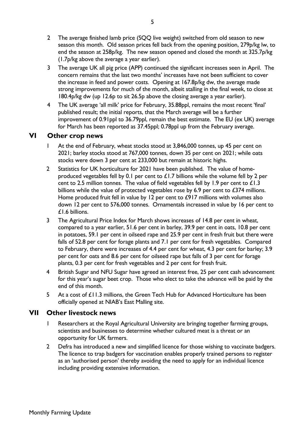- 2 The average finished lamb price (SQQ live weight) switched from old season to new season this month. Old season prices fell back from the opening position, 279p/kg lw, to end the season at 258p/kg. The new season opened and closed the month at 325.7p/kg (1.7p/kg above the average a year earlier).
- 3 The average UK all pig price (APP) continued the significant increases seen in April. The concern remains that the last two months' increases have not been sufficient to cover the increase in feed and power costs. Opening at 167.8p/kg dw, the average made strong improvements for much of the month, albeit stalling in the final week, to close at 180.4p/kg dw (up 12.6p to sit 26.5p above the closing average a year earlier).
- 4 The UK average 'all milk' price for February, 35.88ppl, remains the most recent 'final' published result; the initial reports, that the March average will be a further improvement of 0.91ppl to 36.79ppl, remain the best estimate. The EU (ex UK) average for March has been reported as 37.45ppl; 0.78ppl up from the February average.

#### **VI Other crop news**

- At the end of February, wheat stocks stood at 3,846,000 tonnes, up 45 per cent on 2021; barley stocks stood at 767,000 tonnes, down 35 per cent on 2021; while oats stocks were down 3 per cent at 233,000 but remain at historic highs.
- 2 Statistics for UK horticulture for 2021 have been published. The value of homeproduced vegetables fell by 0.1 per cent to  $£1.7$  billions while the volume fell by 2 per cent to 2.5 million tonnes. The value of field vegetables fell by 1.9 per cent to £1.3 billions while the value of protected vegetables rose by 6.9 per cent to £374 millions. Home produced fruit fell in value by 12 per cent to £917 millions with volumes also down 12 per cent to 576,000 tonnes. Ornamentals increased in value by 16 per cent to £1.6 billions.
- 3 The Agricultural Price Index for March shows increases of 14.8 per cent in wheat, compared to a year earlier, 51.6 per cent in barley, 39.9 per cent in oats, 10.8 per cent in potatoes, 59.1 per cent in oilseed rape and 25.9 per cent in fresh fruit but there were falls of 52.8 per cent for forage plants and 7.1 per cent for fresh vegetables. Compared to February, there were increases of 4.4 per cent for wheat, 4.3 per cent for barley; 3.9 per cent for oats and 8.6 per cent for oilseed rape but falls of 3 per cent for forage plants, 0.3 per cent for fresh vegetables and 2 per cent for fresh fruit.
- 4 British Sugar and NFU Sugar have agreed an interest free, 25 per cent cash advancement for this year's sugar beet crop. Those who elect to take the advance will be paid by the end of this month.
- 5 At a cost of £11.3 millions, the Green Tech Hub for Advanced Horticulture has been officially opened at NIAB's East Malling site.

#### **VII Other livestock news**

- 1 Researchers at the Royal Agricultural University are bringing together farming groups, scientists and businesses to determine whether cultured meat is a threat or an opportunity for UK farmers.
- 2 Defra has introduced a new and simplified licence for those wishing to vaccinate badgers. The licence to trap badgers for vaccination enables properly trained persons to register as an 'authorised person' thereby avoiding the need to apply for an individual licence including providing extensive information.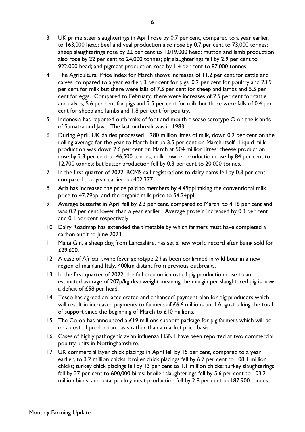- 3 UK prime steer slaughterings in April rose by 0.7 per cent, compared to a year earlier, to 163,000 head; beef and veal production also rose by 0.7 per cent to 73,000 tonnes; sheep slaughterings rose by 22 per cent to 1,019,000 head; mutton and lamb production also rose by 22 per cent to 24,000 tonnes; pig slaughterings fell by 2.9 per cent to 922,000 head; and pigmeat production rose by 1.4 per cent to 87,000 tonnes.
- 4 The Agricultural Price Index for March shows increases of 11.2 per cent for cattle and calves, compared to a year earlier, 3 per cent for pigs, 0.2 per cent for poultry and 23.9 per cent for milk but there were falls of 7.5 per cent for sheep and lambs and 5.5 per cent for eggs. Compared to February, there were increases of 2.5 per cent for cattle and calves, 5.6 per cent for pigs and 2.5 per cent for milk but there were falls of 0.4 per cent for sheep and lambs and 1.8 per cent for poultry.
- 5 Indonesia has reported outbreaks of foot and mouth disease serotype O on the islands of Sumatra and Java. The last outbreak was in 1983.
- 6 During April, UK dairies processed 1,280 million litres of milk, down 0.2 per cent on the rolling average for the year to March but up 3.5 per cent on March itself. Liquid milk production was down 2.6 per cent on March at 504 million litres; cheese production rose by 2.3 per cent to 46,500 tonnes, milk powder production rose by 84 per cent to 12,700 tonnes; but butter production fell by 0.3 per cent to 20,000 tonnes.
- 7 In the first quarter of 2022, BCMS calf registrations to dairy dams fell by 0.3 per cent, compared to a year earlier, to 402,377.
- 8 Arla has increased the price paid to members by 4.49ppl taking the conventional milk price to 47.79ppl and the organic milk price to 54.34ppl.
- 9 Average butterfat in April fell by 2.3 per cent, compared to March, to 4.16 per cent and was 0.2 per cent lower than a year earlier. Average protein increased by 0.3 per cent and 0.1 per cent respectively.
- 10 Dairy Roadmap has extended the timetable by which farmers must have completed a carbon audit to June 2023.
- 11 Malta Gin, a sheep dog from Lancashire, has set a new world record after being sold for £29,600.
- 12 A case of African swine fever genotype 2 has been confirmed in wild boar in a new region of mainland Italy, 400km distant from previous outbreaks.
- 13 In the first quarter of 2022, the full economic cost of pig production rose to an estimated average of 207p/kg deadweight meaning the margin per slaughtered pig is now a deficit of £58 per head.
- 14 Tesco has agreed an 'accelerated and enhanced' payment plan for pig producers which will result in increased payments to farmers of £6.6 millions until August taking the total of support since the beginning of March to £10 millions.
- 15 The Co-op has announced a  $£19$  millions support package for pig farmers which will be on a cost of production basis rather than a market price basis.
- 16 Cases of highly pathogenic avian influenza H5N1 have been reported at two commercial poultry units in Nottinghamshire.
- 17 UK commercial layer chick placings in April fell by 15 per cent, compared to a year earlier, to 3.2 million chicks; broiler chick placings fell by 6.7 per cent to 108.1 million chicks; turkey chick placings fell by 13 per cent to 1.1 million chicks; turkey slaughterings fell by 27 per cent to 600,000 birds; broiler slaughterings fell by 5.6 per cent to 103.2 million birds; and total poultry meat production fell by 2.8 per cent to 187,900 tonnes.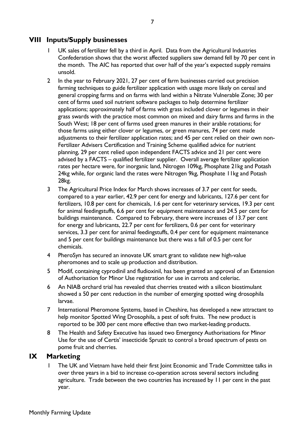#### **VIII Inputs/Supply businesses**

- UK sales of fertilizer fell by a third in April. Data from the Agricultural Industries Confederation shows that the worst affected suppliers saw demand fell by 70 per cent in the month. The AIC has reported that over half of the year's expected supply remains unsold.
- 2 In the year to February 2021, 27 per cent of farm businesses carried out precision farming techniques to guide fertilizer application with usage more likely on cereal and general cropping farms and on farms with land within a Nitrate Vulnerable Zone; 30 per cent of farms used soil nutrient software packages to help determine fertilizer applications; approximately half of farms with grass included clover or legumes in their grass swards with the practice most common on mixed and dairy farms and farms in the South West; 18 per cent of farms used green manures in their arable rotations; for those farms using either clover or legumes, or green manures, 74 per cent made adjustments to their fertilizer application rates; and 45 per cent relied on their own non-Fertilizer Advisers Certification and Training Scheme qualified advice for nutrient planning, 29 per cent relied upon independent FACTS advice and 21 per cent were advised by a FACTS – qualified fertilizer supplier. Overall average fertilizer application rates per hectare were, for inorganic land, Nitrogen 109kg, Phosphate 21kg and Potash 24kg while, for organic land the rates were Nitrogen 9kg, Phosphate 11kg and Potash 28kg.
- 3 The Agricultural Price Index for March shows increases of 3.7 per cent for seeds, compared to a year earlier, 42.9 per cent for energy and lubricants, 127.6 per cent for fertilizers, 10.8 per cent for chemicals, 1.6 per cent for veterinary services, 19.3 per cent for animal feedingstuffs, 6.6 per cent for equipment maintenance and 24.5 per cent for buildings maintenance. Compared to February, there were increases of 13.7 per cent for energy and lubricants, 22.7 per cent for fertilizers, 0.6 per cent for veterinary services, 3.3 per cent for animal feedingstuffs, 0.4 per cent for equipment maintenance and 5 per cent for buildings maintenance but there was a fall of 0.5 per cent for chemicals.
- 4 PheroSyn has secured an innovate UK smart grant to validate new high-value pheromones and to scale up production and distribution.
- 5 Modif, containing cyprodinil and fludioxinil, has been granted an approval of an Extension of Authorisation for Minor Use registration for use in carrots and celeriac.
- 6 An NIAB orchard trial has revealed that cherries treated with a silicon biostimulant showed a 50 per cent reduction in the number of emerging spotted wing drosophila larvae.
- 7 International Pheromone Systems, based in Cheshire, has developed a new attractant to help monitor Spotted Wing Drosophila, a pest of soft fruits. The new product is reported to be 300 per cent more effective than two market-leading products.
- 8 The Health and Safety Executive has issued two Emergency Authorisations for Minor Use for the use of Certis' insecticide Spruzit to control a broad spectrum of pests on pome fruit and cherries.

#### **IX Marketing**

The UK and Vietnam have held their first Joint Economic and Trade Committee talks in over three years in a bid to increase co-operation across several sectors including agriculture. Trade between the two countries has increased by 11 per cent in the past year.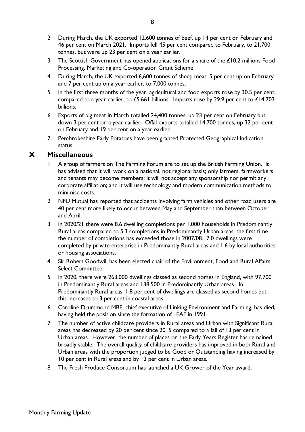- 2 During March, the UK exported 12,600 tonnes of beef, up 14 per cent on February and 46 per cent on March 2021. Imports fell 45 per cent compared to February, to 21,700 tonnes, but were up 23 per cent on a year earlier.
- 3 The Scottish Government has opened applications for a share of the £10.2 millions Food Processing, Marketing and Co-operation Grant Scheme.
- 4 During March, the UK exported 6,600 tonnes of sheep meat, 5 per cent up on February and 7 per cent up on a year earlier, to 7,000 tonnes.
- 5 In the first three months of the year, agricultural and food exports rose by 30.5 per cent, compared to a year earlier, to £5.661 billions. Imports rose by 29.9 per cent to £14.703 billions.
- 6 Exports of pig meat in March totalled 24,400 tonnes, up 23 per cent on February but down 3 per cent on a year earlier. Offal exports totalled 14,700 tonnes, up 32 per cent on February and 19 per cent on a year earlier.
- 7 Pembrokeshire Early Potatoes have been granted Protected Geographical Indication status.

#### **X Miscellaneous**

- 1 A group of farmers on The Farming Forum are to set up the British Farming Union. It has advised that it will work on a national, not regional basis; only farmers, farmworkers and tenants may become members; it will not accept any sponsorship nor permit any corporate affiliation; and it will use technology and modern communication methods to minimise costs.
- 2 NFU Mutual has reported that accidents involving farm vehicles and other road users are 40 per cent more likely to occur between May and September than between October and April.
- 3 In 2020/21 there were 8.6 dwelling completions per 1,000 households in Predominantly Rural areas compared to 5.3 completions in Predominantly Urban areas, the first time the number of completions has exceeded those in 2007/08. 7.0 dwellings were completed by private enterprise in Predominantly Rural areas and 1.6 by local authorities or housing associations.
- 4 Sir Robert Goodwill has been elected chair of the Environment, Food and Rural Affairs Select Committee.
- 5 In 2020, there were 263,000 dwellings classed as second homes in England, with 97,700 in Predominantly Rural areas and 138,500 in Predominantly Urban areas. In Predominantly Rural areas, 1.8 per cent of dwellings are classed as second homes but this increases to 3 per cent in coastal areas.
- 6 Caroline Drummond MBE, chief executive of Linking Environment and Farming, has died, having held the position since the formation of LEAF in 1991.
- 7 The number of active childcare providers in Rural areas and Urban with Significant Rural areas has decreased by 20 per cent since 2015 compared to a fall of 13 per cent in Urban areas. However, the number of places on the Early Years Register has remained broadly stable. The overall quality of childcare providers has improved in both Rural and Urban areas with the proportion judged to be Good or Outstanding having increased by 10 per cent in Rural areas and by 13 per cent in Urban areas.
- 8 The Fresh Produce Consortium has launched a UK Grower of the Year award.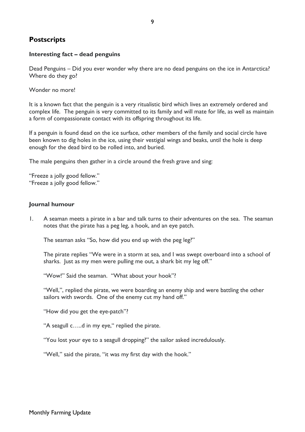#### **Postscripts**

#### **Interesting fact – dead penguins**

Dead Penguins – Did you ever wonder why there are no dead penguins on the ice in Antarctica? Where do they go?

Wonder no more!

It is a known fact that the penguin is a very ritualistic bird which lives an extremely ordered and complex life. The penguin is very committed to its family and will mate for life, as well as maintain a form of compassionate contact with its offspring throughout its life.

If a penguin is found dead on the ice surface, other members of the family and social circle have been known to dig holes in the ice, using their vestigial wings and beaks, until the hole is deep enough for the dead bird to be rolled into, and buried.

The male penguins then gather in a circle around the fresh grave and sing:

"Freeze a jolly good fellow." "Freeze a jolly good fellow."

#### **Journal humour**

1. A seaman meets a pirate in a bar and talk turns to their adventures on the sea. The seaman notes that the pirate has a peg leg, a hook, and an eye patch.

The seaman asks "So, how did you end up with the peg leg?"

The pirate replies "We were in a storm at sea, and I was swept overboard into a school of sharks. Just as my men were pulling me out, a shark bit my leg off."

"Wow!" Said the seaman. "What about your hook"?

"Well,", replied the pirate, we were boarding an enemy ship and were battling the other sailors with swords. One of the enemy cut my hand off."

"How did you get the eye-patch"?

"A seagull c…..d in my eye," replied the pirate.

"You lost your eye to a seagull dropping?" the sailor asked incredulously.

"Well," said the pirate, "it was my first day with the hook."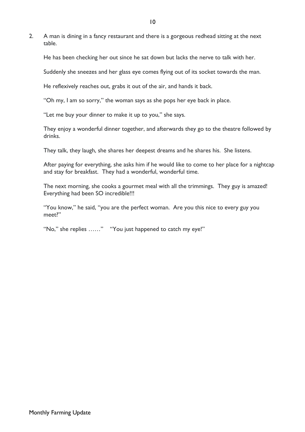2. A man is dining in a fancy restaurant and there is a gorgeous redhead sitting at the next table.

He has been checking her out since he sat down but lacks the nerve to talk with her.

Suddenly she sneezes and her glass eye comes flying out of its socket towards the man.

He reflexively reaches out, grabs it out of the air, and hands it back.

"Oh my, I am so sorry," the woman says as she pops her eye back in place.

"Let me buy your dinner to make it up to you," she says.

They enjoy a wonderful dinner together, and afterwards they go to the theatre followed by drinks.

They talk, they laugh, she shares her deepest dreams and he shares his. She listens.

After paying for everything, she asks him if he would like to come to her place for a nightcap and stay for breakfast. They had a wonderful, wonderful time.

The next morning, she cooks a gourmet meal with all the trimmings. They guy is amazed! Everything had been SO incredible!!!

"You know," he said, "you are the perfect woman. Are you this nice to every guy you meet?"

"No," she replies ……" "You just happened to catch my eye!"